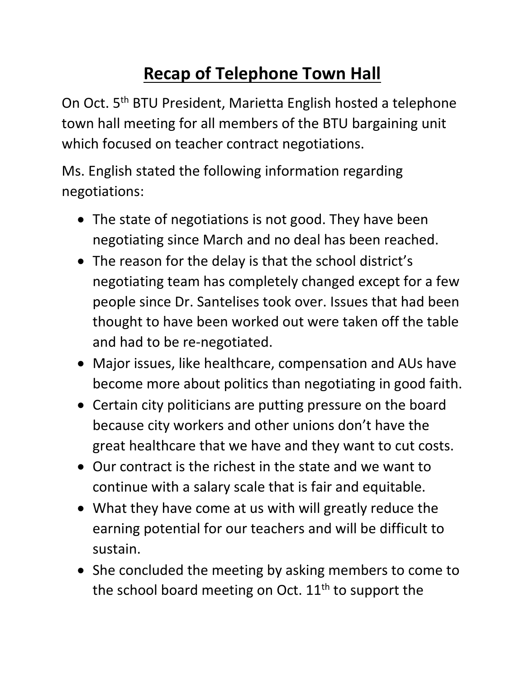## **Recap of Telephone Town Hall**

On Oct. 5<sup>th</sup> BTU President, Marietta English hosted a telephone town hall meeting for all members of the BTU bargaining unit which focused on teacher contract negotiations.

Ms. English stated the following information regarding negotiations:

- The state of negotiations is not good. They have been negotiating since March and no deal has been reached.
- The reason for the delay is that the school district's negotiating team has completely changed except for a few people since Dr. Santelises took over. Issues that had been thought to have been worked out were taken off the table and had to be re-negotiated.
- Major issues, like healthcare, compensation and AUs have become more about politics than negotiating in good faith.
- Certain city politicians are putting pressure on the board because city workers and other unions don't have the great healthcare that we have and they want to cut costs.
- Our contract is the richest in the state and we want to continue with a salary scale that is fair and equitable.
- What they have come at us with will greatly reduce the earning potential for our teachers and will be difficult to sustain.
- She concluded the meeting by asking members to come to the school board meeting on Oct.  $11<sup>th</sup>$  to support the